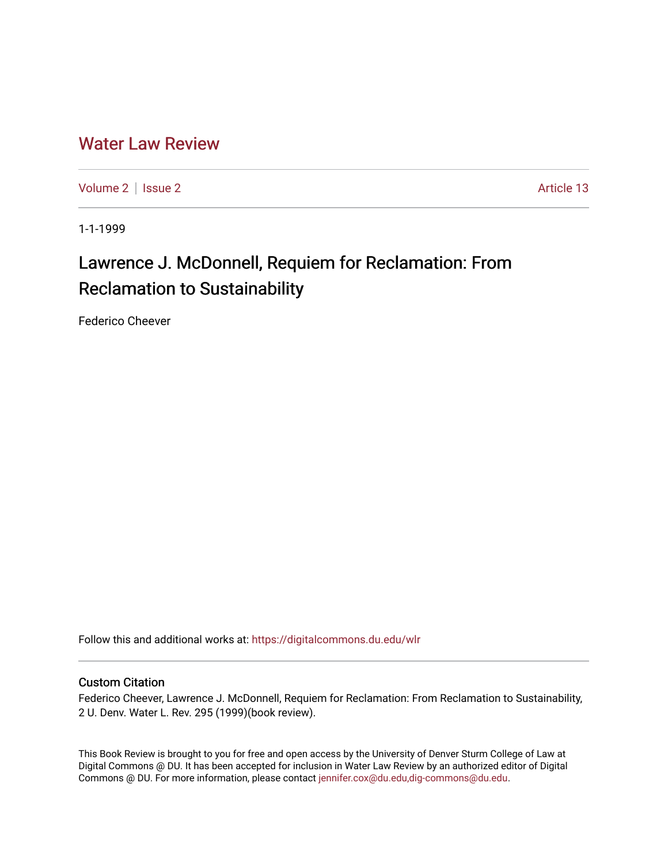# [Water Law Review](https://digitalcommons.du.edu/wlr)

[Volume 2](https://digitalcommons.du.edu/wlr/vol2) | [Issue 2](https://digitalcommons.du.edu/wlr/vol2/iss2) Article 13

1-1-1999

# Lawrence J. McDonnell, Requiem for Reclamation: From Reclamation to Sustainability

Federico Cheever

Follow this and additional works at: [https://digitalcommons.du.edu/wlr](https://digitalcommons.du.edu/wlr?utm_source=digitalcommons.du.edu%2Fwlr%2Fvol2%2Fiss2%2F13&utm_medium=PDF&utm_campaign=PDFCoverPages) 

#### Custom Citation

Federico Cheever, Lawrence J. McDonnell, Requiem for Reclamation: From Reclamation to Sustainability, 2 U. Denv. Water L. Rev. 295 (1999)(book review).

This Book Review is brought to you for free and open access by the University of Denver Sturm College of Law at Digital Commons @ DU. It has been accepted for inclusion in Water Law Review by an authorized editor of Digital Commons @ DU. For more information, please contact [jennifer.cox@du.edu,dig-commons@du.edu.](mailto:jennifer.cox@du.edu,dig-commons@du.edu)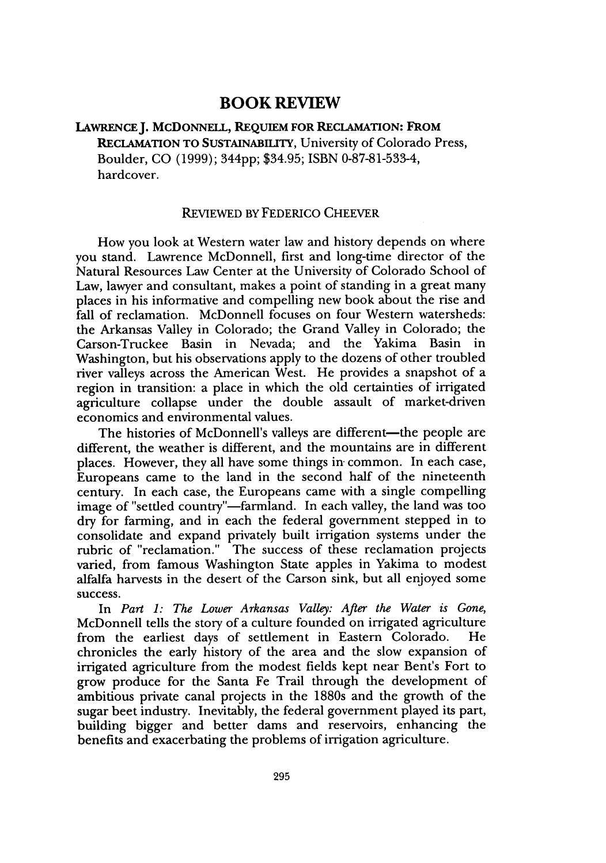## **BOOK REVIEW**

### **LAWRENCEJ. MCDONNELL, REQUIEM FOR RECLAMATION: FROM** RECLAMATION TO SUSTAINABILITY, University of Colorado Press, Boulder, CO (1999); 3<sup>44</sup> pp; \$34.95; ISBN 0-87-81-533-4, hardcover.

#### REVIEWED BY FEDERICO CHEEVER

How you look at Western water law and history depends on where you stand. Lawrence McDonnell, first and long-time director of the Natural Resources Law Center at the University of Colorado School of Law, lawyer and consultant, makes a point of standing in a great many places in his informative and compelling new book about the rise and fall of reclamation. McDonnell focuses on four Western watersheds: the Arkansas Valley in Colorado; the Grand Valley in Colorado; the Carson-Truckee Basin in Nevada; and the Yakima Basin in Washington, but his observations apply to the dozens of other troubled river valleys across the American West. He provides a snapshot of a region in transition: a place in which the old certainties of irrigated agriculture collapse under the double assault of market-driven economics and environmental values.

The histories of McDonnell's valleys are different—the people are different, the weather is different, and the mountains are in different places. However, they all have some things in- common. In each case, Europeans came to the land in the second half of the nineteenth century. In each case, the Europeans came with a single compelling image of "settled country"-farmland. In each valley, the land was too dry for farming, and in each the federal government stepped in to consolidate and expand privately built irrigation systems under the rubric of "reclamation." The success of these reclamation projects varied, from famous Washington State apples in Yakima to modest alfalfa harvests in the desert of the Carson sink, but all enjoyed some success.

In *Part 1: The Lower Arkansas Valley: After the Water is Gone,* McDonnell tells the story of a culture founded on irrigated agriculture from the earliest days of settlement in Eastern Colorado. He chronicles the early history of the area and the slow expansion of irrigated agriculture from the modest fields kept near Bent's Fort to grow produce for the Santa Fe Trail through the development of ambitious private canal projects in the 1880s and the growth of the sugar beet industry. Inevitably, the federal government played its part, building bigger and better dams and reservoirs, enhancing the benefits and exacerbating the problems of irrigation agriculture.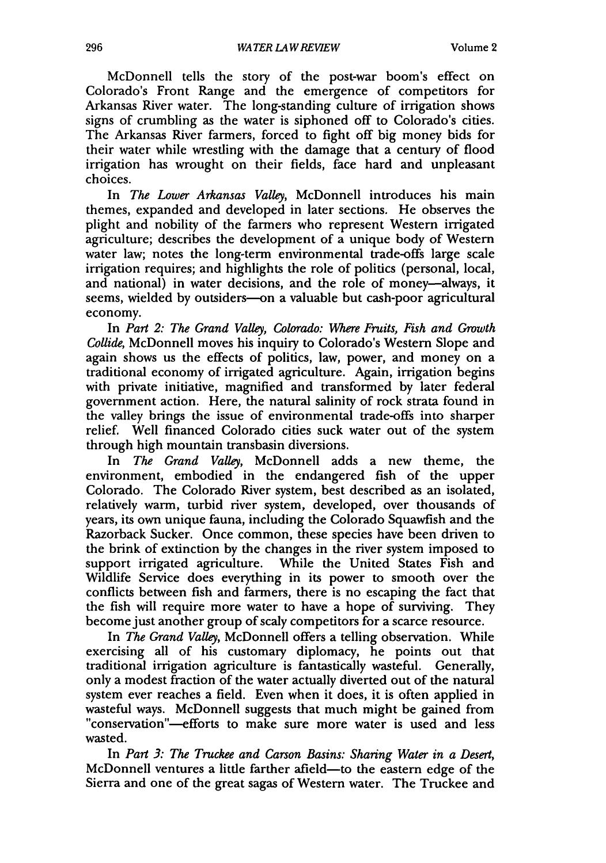McDonnell tells the story of the post-war boom's effect on Colorado's Front Range and the emergence of competitors for Arkansas River water. The long-standing culture of irrigation shows signs of crumbling as the water is siphoned off to Colorado's cities. The Arkansas River farmers, forced to fight off big money bids for their water while wrestling with the damage that a century of flood irrigation has wrought on their fields, face hard and unpleasant choices.

In *The Lower Arkansas Valley,* McDonnell introduces his main themes, expanded and developed in later sections. He observes the plight and nobility of the farmers who represent Western irrigated agriculture; describes the development of a unique body of Western water law; notes the long-term environmental trade-offs large scale irrigation requires; and highlights the role of politics (personal, local, and national) in water decisions, and the role of money-always, it seems, wielded by outsiders-on a valuable but cash-poor agricultural economy.

In *Part 2: The Grand Valley, Colorado: Where Fruits, Fish and Growth Collide,* McDonnell moves his inquiry to Colorado's Western Slope and again shows us the effects of politics, law, power, and money on a traditional economy of irrigated agriculture. Again, irrigation begins with private initiative, magnified and transformed by later federal government action. Here, the natural salinity of rock strata found in the valley brings the issue of environmental trade-offs into sharper relief. Well financed Colorado cities suck water out of the system through high mountain transbasin diversions.

In *The Grand Valley,* McDonnell adds a new theme, the environment, embodied in the endangered fish of the upper Colorado. The Colorado River system, best described as an isolated, relatively warm, turbid river system, developed, over thousands of years, its own unique fauna, including the Colorado Squawfish and the Razorback Sucker. Once common, these species have been driven to the brink of extinction by the changes in the river system imposed to support irrigated agriculture. While the United States Fish and Wildlife Service does everything in its power to smooth over the conflicts between fish and farmers, there is no escaping the fact that the fish will require more water to have a hope of surviving. They become just another group of scaly competitors for a scarce resource.

In *The Grand Valley,* McDonnell offers a telling observation. While exercising all of his customary diplomacy, he points out that traditional irrigation agriculture is fantastically wasteful. Generally, only a modest fraction of the water actually diverted out of the natural system ever reaches a field. Even when it does, it is often applied in wasteful ways. McDonnell suggests that much might be gained from "conservation"-efforts to make sure more water is used and less wasted.

In *Part 3: The Truckee and Carson Basins: Sharing Water in a Desert,* McDonnell ventures a little farther afield-to the eastern edge of the Sierra and one of the great sagas of Western water. The Truckee and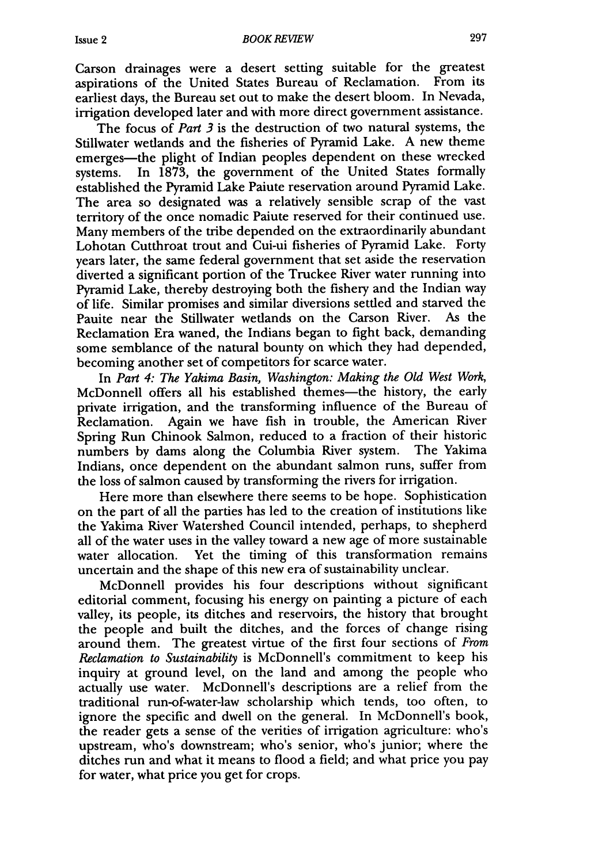Carson drainages were a desert setting suitable for the greatest aspirations of the United States Bureau of Reclamation. From its earliest days, the Bureau set out to make the desert bloom. In Nevada, irrigation developed later and with more direct government assistance.

The focus of *Part 3* is the destruction of two natural systems, the Stillwater wetlands and the fisheries of Pyramid Lake. A new theme emerges-the plight of Indian peoples dependent on these wrecked systems. In 1873, the government of the United States formally established the Pyramid Lake Paiute reservation around Pyramid Lake. The area so designated was a relatively sensible scrap of the vast territory of the once nomadic Paiute reserved for their continued use. Many members of the tribe depended on the extraordinarily abundant Lohotan Cutthroat trout and Cui-ui fisheries of Pyramid Lake. Forty years later, the same federal government that set aside the reservation diverted a significant portion of the Truckee River water running into Pyramid Lake, thereby destroying both the fishery and the Indian way of life. Similar promises and similar diversions settled and starved the Pauite near the Stillwater wetlands on the Carson River. Reclamation Era waned, the Indians began to fight back, demanding some semblance of the natural bounty on which they had depended, becoming another set of competitors for scarce water.

In *Part 4: The Yakima Basin, Washington: Making the Old West Work,* McDonnell offers all his established themes—the history, the early private irrigation, and the transforming influence of the Bureau of Reclamation. Again we have fish in trouble, the American River Spring Run Chinook Salmon, reduced to a fraction of their historic numbers by dams along the Columbia River system. The Yakima Indians, once dependent on the abundant salmon runs, suffer from the loss of salmon caused by transforming the rivers for irrigation.

Here more than elsewhere there seems to be hope. Sophistication on the part of all the parties has led to the creation of institutions like the Yakima River Watershed Council intended, perhaps, to shepherd all of the water uses in the valley toward a new age of more sustainable water allocation. Yet the timing of this transformation remains uncertain and the shape of this new era of sustainability unclear.

McDonnell provides his four descriptions without significant editorial comment, focusing his energy on painting a picture of each valley, its people, its ditches and reservoirs, the history that brought the people and built the ditches, and the forces of change rising around them. The greatest virtue of the first four sections of *From Reclamation to Sustainability* is McDonnell's commitment to keep his inquiry at ground level, on the land and among the people who actually use water. McDonnell's descriptions are a relief from the traditional run-of-water-law scholarship which tends, too often, to ignore the specific and dwell on the general. In McDonnell's book, the reader gets a sense of the verities of irrigation agriculture: who's upstream, who's downstream; who's senior, who's junior; where the ditches run and what it means to flood a field; and what price you pay for water, what price you get for crops.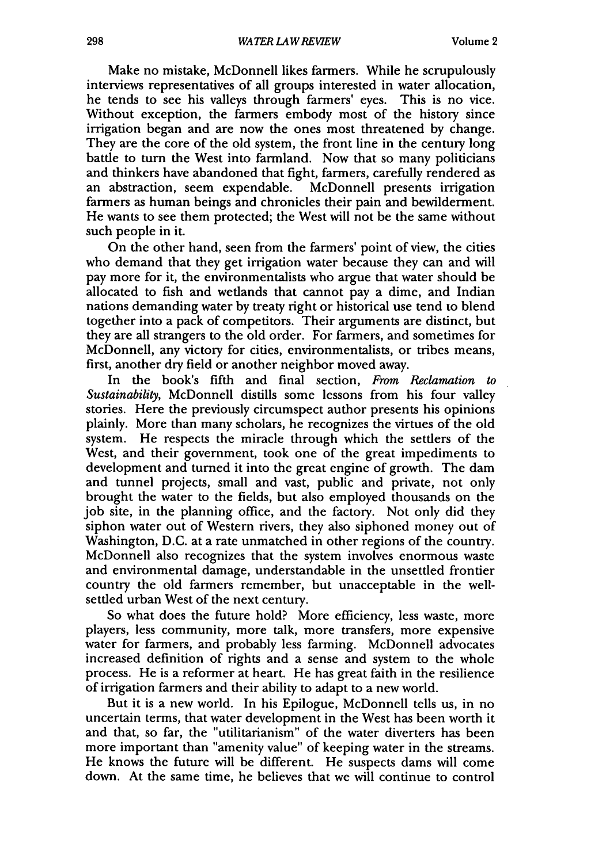Make no mistake, McDonnell likes farmers. While he scrupulously interviews representatives of all groups interested in water allocation, he tends to see his valleys through farmers' eyes. This is no vice. Without exception, the farmers embody most of the history since irrigation began and are now the ones most threatened by change. They are the core of the old system, the front line in the century long battle to turn the West into farmland. Now that so many politicians and thinkers have abandoned that fight, farmers, carefully rendered as an abstraction, seem expendable. McDonnell presents irrigation farmers as human beings and chronicles their pain and bewilderment. He wants to see them protected; the West will not be the same without such people in it.

On the other hand, seen from the farmers' point of view, the cities who demand that they get irrigation water because they can and will pay more for it, the environmentalists who argue that water should be allocated to fish and wetlands that cannot pay a dime, and Indian nations demanding water by treaty right or historical use tend to blend together into a pack of competitors. Their arguments are distinct, but they are all strangers to the old order. For farmers, and sometimes for McDonnell, any victory for cities, environmentalists, or tribes means, first, another dry field or another neighbor moved away.

In the book's fifth and final section, *From Reclamation to Sustainability,* McDonnell distills some lessons from his four valley stories. Here the previously circumspect author presents his opinions plainly. More than many scholars, he recognizes the virtues of the old system. He respects the miracle through which the settlers of the West, and their government, took one of the great impediments to development and turned it into the great engine of growth. The dam and tunnel projects, small and vast, public and private, not only brought the water to the fields, but also employed thousands on the job site, in the planning office, and the factory. Not only did they siphon water out of Western rivers, they also siphoned money out of Washington, D.C. at a rate unmatched in other regions of the country. McDonnell also recognizes that the system involves enormous waste and environmental damage, understandable in the unsettled frontier country the old farmers remember, but unacceptable in the wellsettled urban West of the next century.

So what does the future hold? More efficiency, less waste, more players, less community, more talk, more transfers, more expensive water for farmers, and probably less farming. McDonnell advocates increased definition of rights and a sense and system to the whole process. He is a reformer at heart. He has great faith in the resilience of irrigation farmers and their ability to adapt to a new world.

But it is a new world. In his Epilogue, McDonnell tells us, in no uncertain terms, that water development in the West has been worth it and that, so far, the "utilitarianism" of the water diverters has been more important than "amenity value" of keeping water in the streams. He knows the future will be different. He suspects dams will come down. At the same time, he believes that we will continue to control